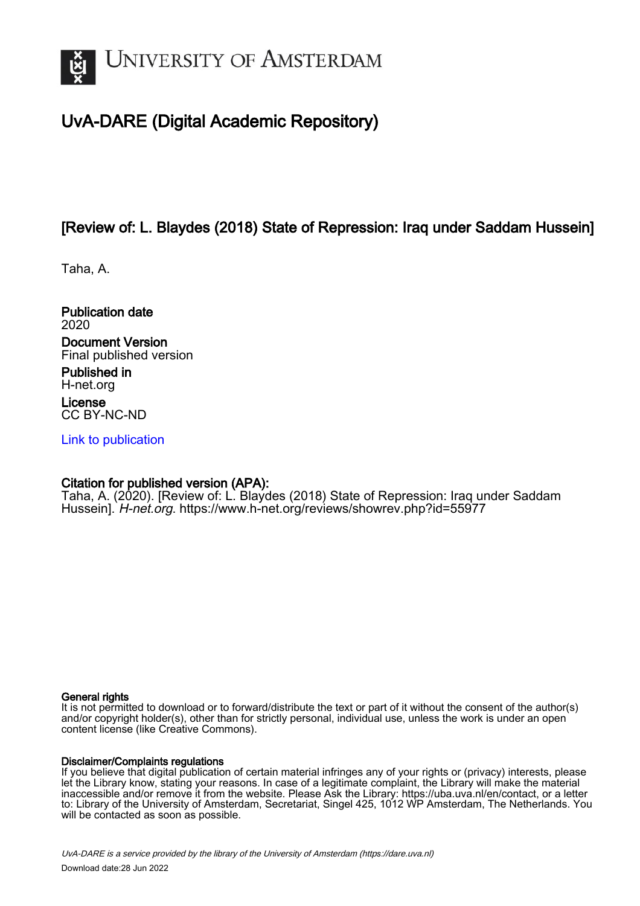

## UvA-DARE (Digital Academic Repository)

## [Review of: L. Blaydes (2018) State of Repression: Iraq under Saddam Hussein]

Taha, A.

Publication date 2020

Document Version Final published version

Published in H-net.org

License CC BY-NC-ND

[Link to publication](https://dare.uva.nl/personal/pure/en/publications/review-of-l-blaydes-2018-state-of-repression-iraq-under-saddam-hussein(97fa72a1-8be9-459a-af00-7373bcd867ce).html)

### Citation for published version (APA):

Taha, A. (2020). [Review of: L. Blaydes (2018) State of Repression: Iraq under Saddam Hussein]. H-net.org. <https://www.h-net.org/reviews/showrev.php?id=55977>

#### General rights

It is not permitted to download or to forward/distribute the text or part of it without the consent of the author(s) and/or copyright holder(s), other than for strictly personal, individual use, unless the work is under an open content license (like Creative Commons).

#### Disclaimer/Complaints regulations

If you believe that digital publication of certain material infringes any of your rights or (privacy) interests, please let the Library know, stating your reasons. In case of a legitimate complaint, the Library will make the material inaccessible and/or remove it from the website. Please Ask the Library: https://uba.uva.nl/en/contact, or a letter to: Library of the University of Amsterdam, Secretariat, Singel 425, 1012 WP Amsterdam, The Netherlands. You will be contacted as soon as possible.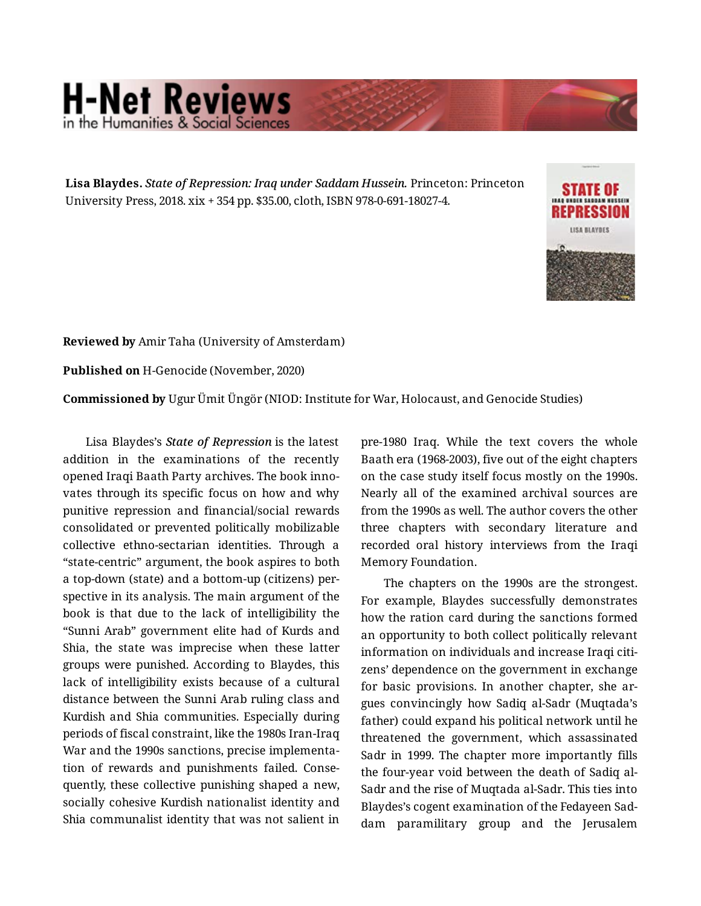# **H-Net Reviews** in the Humanities & Social Scie

**Lisa Blaydes.** *State of Repression: Iraq under Saddam Hussein.* Princeton: Princeton University Press, 2018. xix + 354 pp. \$35.00, cloth, ISBN 978-0-691-18027-4.



**Reviewed by** Amir Taha (University of Amsterdam)

**Published on** H-Genocide (November, 2020)

**Commissioned by** Ugur Ümit Üngör (NIOD: Institute for War, Holocaust, and Genocide Studies)

Lisa Blaydes's *State of Repression* is the latest addition in the examinations of the recently opened Iraqi Baath Party archives. The book inno‐ vates through its specific focus on how and why punitive repression and financial/social rewards consolidated or prevented politically mobilizable collective ethno-sectarian identities. Through a "state-centric" argument, the book aspires to both a top-down (state) and a bottom-up (citizens) per‐ spective in its analysis. The main argument of the book is that due to the lack of intelligibility the "Sunni Arab" government elite had of Kurds and Shia, the state was imprecise when these latter groups were punished. According to Blaydes, this lack of intelligibility exists because of a cultural distance between the Sunni Arab ruling class and Kurdish and Shia communities. Especially during periods of fiscal constraint, like the 1980s Iran-Iraq War and the 1990s sanctions, precise implementa‐ tion of rewards and punishments failed. Conse‐ quently, these collective punishing shaped a new, socially cohesive Kurdish nationalist identity and Shia communalist identity that was not salient in

pre-1980 Iraq. While the text covers the whole Baath era (1968-2003), five out of the eight chapters on the case study itself focus mostly on the 1990s. Nearly all of the examined archival sources are from the 1990s as well. The author covers the other three chapters with secondary literature and recorded oral history interviews from the Iraqi Memory Foundation.

The chapters on the 1990s are the strongest. For example, Blaydes successfully demonstrates how the ration card during the sanctions formed an opportunity to both collect politically relevant information on individuals and increase Iraqi citizens' dependence on the government in exchange for basic provisions. In another chapter, she argues convincingly how Sadiq al-Sadr (Muqtada's father) could expand his political network until he threatened the government, which assassinated Sadr in 1999. The chapter more importantly fills the four-year void between the death of Sadiq al-Sadr and the rise of Muqtada al-Sadr. This ties into Blaydes's cogent examination of the Fedayeen Sad‐ dam paramilitary group and the Jerusalem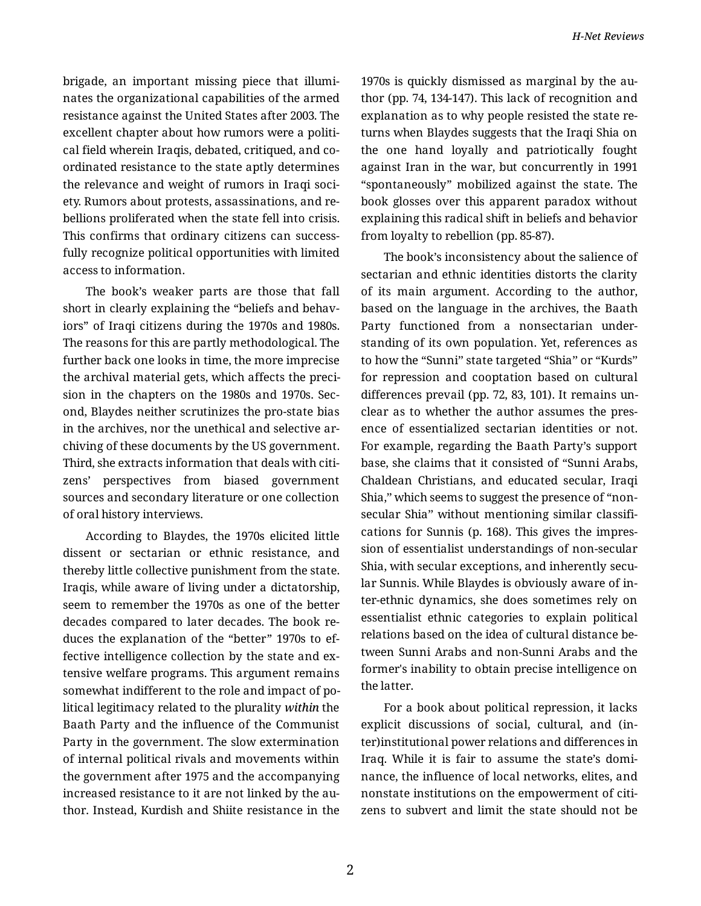brigade, an important missing piece that illumi‐ nates the organizational capabilities of the armed resistance against the United States after 2003. The excellent chapter about how rumors were a political field wherein Iraqis, debated, critiqued, and co‐ ordinated resistance to the state aptly determines the relevance and weight of rumors in Iraqi soci‐ ety. Rumors about protests, assassinations, and re‐ bellions proliferated when the state fell into crisis. This confirms that ordinary citizens can success‐ fully recognize political opportunities with limited access to information.

The book's weaker parts are those that fall short in clearly explaining the "beliefs and behav‐ iors" of Iraqi citizens during the 1970s and 1980s. The reasons for this are partly methodological. The further back one looks in time, the more imprecise the archival material gets, which affects the preci‐ sion in the chapters on the 1980s and 1970s. Sec‐ ond, Blaydes neither scrutinizes the pro-state bias in the archives, nor the unethical and selective archiving of these documents by the US government. Third, she extracts information that deals with citi‐ zens' perspectives from biased government sources and secondary literature or one collection of oral history interviews.

According to Blaydes, the 1970s elicited little dissent or sectarian or ethnic resistance, and thereby little collective punishment from the state. Iraqis, while aware of living under a dictatorship, seem to remember the 1970s as one of the better decades compared to later decades. The book re‐ duces the explanation of the "better" 1970s to ef‐ fective intelligence collection by the state and ex‐ tensive welfare programs. This argument remains somewhat indifferent to the role and impact of po‐ litical legitimacy related to the plurality *within* the Baath Party and the influence of the Communist Party in the government. The slow extermination of internal political rivals and movements within the government after 1975 and the accompanying increased resistance to it are not linked by the au‐ thor. Instead, Kurdish and Shiite resistance in the 1970s is quickly dismissed as marginal by the au‐ thor (pp. 74, 134-147). This lack of recognition and explanation as to why people resisted the state re‐ turns when Blaydes suggests that the Iraqi Shia on the one hand loyally and patriotically fought against Iran in the war, but concurrently in 1991 "spontaneously" mobilized against the state. The book glosses over this apparent paradox without explaining this radical shift in beliefs and behavior from loyalty to rebellion (pp. 85-87).

The book's inconsistency about the salience of sectarian and ethnic identities distorts the clarity of its main argument. According to the author, based on the language in the archives, the Baath Party functioned from a nonsectarian under‐ standing of its own population. Yet, references as to how the "Sunni'' state targeted "Shia'' or "Kurds'' for repression and cooptation based on cultural differences prevail (pp. 72, 83, 101). It remains un‐ clear as to whether the author assumes the pres‐ ence of essentialized sectarian identities or not. For example, regarding the Baath Party's support base, she claims that it consisted of "Sunni Arabs, Chaldean Christians, and educated secular, Iraqi Shia,'' which seems to suggest the presence of "nonsecular Shia" without mentioning similar classifications for Sunnis (p. 168). This gives the impres‐ sion of essentialist understandings of non-secular Shia, with secular exceptions, and inherently secular Sunnis. While Blaydes is obviously aware of in‐ ter-ethnic dynamics, she does sometimes rely on essentialist ethnic categories to explain political relations based on the idea of cultural distance be‐ tween Sunni Arabs and non-Sunni Arabs and the former's inability to obtain precise intelligence on the latter.

For a book about political repression, it lacks explicit discussions of social, cultural, and (in‐ ter)institutional power relations and differences in Iraq. While it is fair to assume the state's domi‐ nance, the influence of local networks, elites, and nonstate institutions on the empowerment of citi‐ zens to subvert and limit the state should not be